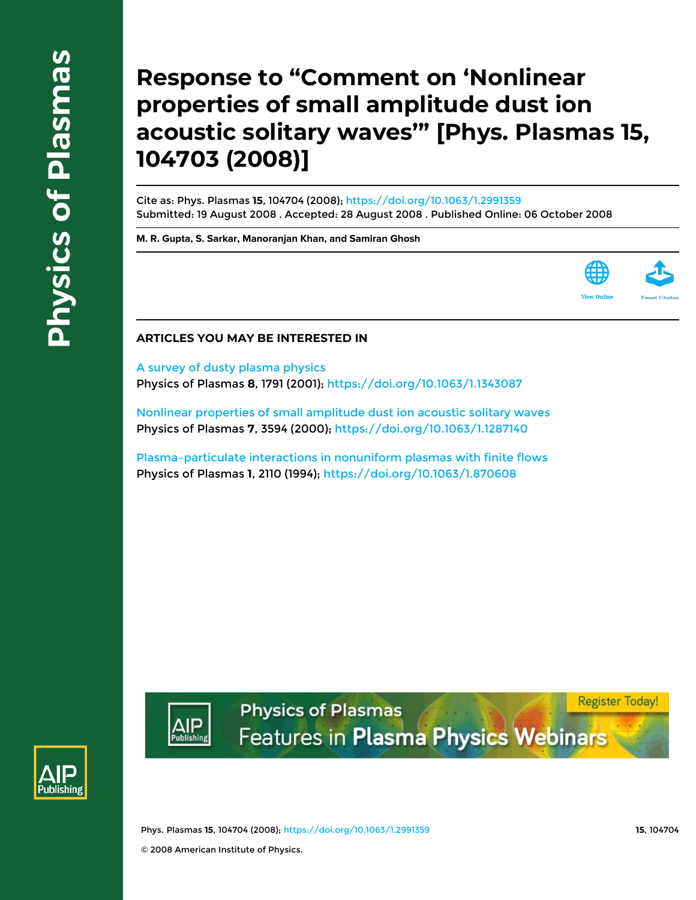## **Response to "Comment on 'Nonlinear properties of small amplitude dust ion acoustic solitary waves'" [Phys. Plasmas 15, 104703 (2008)]**

Cite as: Phys. Plasmas **15**, 104704 (2008); https://doi.org/10.1063/1.2991359 Submitted: 19 August 2008 . Accepted: 28 August 2008 . Published Online: 06 October 2008

**M. R. Gupta, S. Sarkar, Manoranjan Khan, and Samiran Ghosh**



## **ARTICLES YOU MAY BE INTERESTED IN**

A survey of dusty plasma physics Physics of Plasmas **8**, 1791 (2001); https://doi.org/10.1063/1.1343087

Nonlinear properties of small amplitude dust ion acoustic solitary waves Physics of Plasmas **7**, 3594 (2000); https://doi.org/10.1063/1.1287140

Plasma–particulate interactions in nonuniform plasmas with finite flows Physics of Plasmas **1**, 2110 (1994); https://doi.org/10.1063/1.870608



**Register Today! Physics of Plasmas** Features in Plasma Physics Webinars



Phys. Plasmas **15**, 104704 (2008); https://doi.org/10.1063/1.2991359 **15**, 104704 © 2008 American Institute of Physics.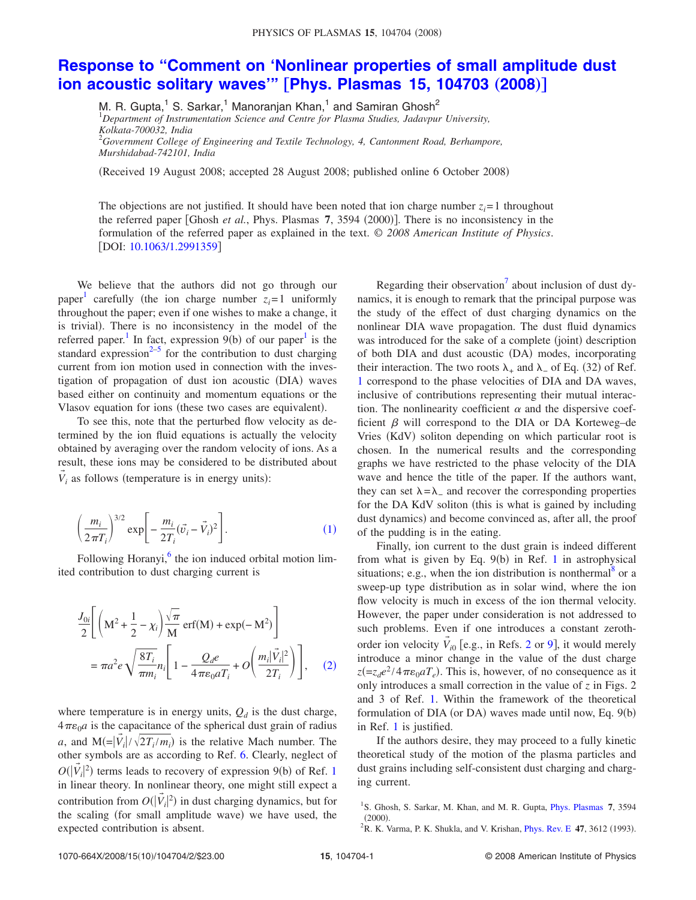## **Response to "Comment on 'Nonlinear properties of small amplitude dust ion acoustic solitary waves" [Phys. Plasmas 15, 104703 (2008)]**

M. R. Gupta,<sup>1</sup> S. Sarkar,<sup>1</sup> Manoranjan Khan,<sup>1</sup> and Samiran Ghosh<sup>2</sup>

<sup>1</sup>*Department of Instrumentation Science and Centre for Plasma Studies, Jadavpur University, Kolkata-700032, India* <sup>2</sup>*Government College of Engineering and Textile Technology, 4, Cantonment Road, Berhampore,*

*Murshidabad-742101, India*

Received 19 August 2008; accepted 28 August 2008; published online 6 October 2008-

The objections are not justified. It should have been noted that ion charge number  $z_i = 1$  throughout the referred paper [Ghosh et al., Phys. Plasmas 7, 3594 (2000)]. There is no inconsistency in the formulation of the referred paper as explained in the text. © *2008 American Institute of Physics*. [DOI: 10.1063/1.2991359]

We believe that the authors did not go through our paper<sup>1</sup> carefully (the ion charge number  $z_i = 1$  uniformly throughout the paper; even if one wishes to make a change, it is trivial). There is no inconsistency in the model of the referred paper.<sup>1</sup> In fact, expression  $9(b)$  of our paper<sup>1</sup> is the standard expression $^{2-5}$  for the contribution to dust charging current from ion motion used in connection with the investigation of propagation of dust ion acoustic (DIA) waves based either on continuity and momentum equations or the Vlasov equation for ions (these two cases are equivalent).

To see this, note that the perturbed flow velocity as determined by the ion fluid equations is actually the velocity obtained by averaging over the random velocity of ions. As a result, these ions may be considered to be distributed about  $\vec{V}_i$  as follows (temperature is in energy units):

$$
\left(\frac{m_i}{2\pi T_i}\right)^{3/2} \exp\bigg[-\frac{m_i}{2T_i}(\vec{v}_i-\vec{V}_i)^2\bigg].
$$
 (1)

Following Horanyi,<sup>6</sup> the ion induced orbital motion limited contribution to dust charging current is

$$
\frac{J_{0i}}{2} \left[ \left( \mathbf{M}^2 + \frac{1}{2} - \chi_i \right) \frac{\sqrt{\pi}}{\mathbf{M}} \operatorname{erf}(\mathbf{M}) + \exp(-\mathbf{M}^2) \right]
$$

$$
= \pi a^2 e \sqrt{\frac{8T_i}{\pi m_i} n_i} \left[ 1 - \frac{Q_d e}{4\pi \epsilon_0 a T_i} + O\left(\frac{m_i |\vec{V}_i|^2}{2T_i}\right) \right], \quad (2)
$$

where temperature is in energy units,  $Q_d$  is the dust charge,  $4\pi\varepsilon_0 a$  is the capacitance of the spherical dust grain of radius *a*, and  $M = |\vec{V}_i| / \sqrt{2T_i/m_i}$  is the relative Mach number. The other symbols are as according to Ref. 6. Clearly, neglect of  $O(|\vec{V}_i|^2)$  terms leads to recovery of expression 9(b) of Ref. 1 in linear theory. In nonlinear theory, one might still expect a contribution from  $O(|\vec{V}_i|^2)$  in dust charging dynamics, but for the scaling (for small amplitude wave) we have used, the expected contribution is absent.

Regarding their observation<sup>7</sup> about inclusion of dust dynamics, it is enough to remark that the principal purpose was the study of the effect of dust charging dynamics on the nonlinear DIA wave propagation. The dust fluid dynamics was introduced for the sake of a complete (joint) description of both DIA and dust acoustic (DA) modes, incorporating their interaction. The two roots  $\lambda_+$  and  $\lambda_-$  of Eq. (32) of Ref. 1 correspond to the phase velocities of DIA and DA waves, inclusive of contributions representing their mutual interaction. The nonlinearity coefficient  $\alpha$  and the dispersive coefficient  $\beta$  will correspond to the DIA or DA Korteweg–de Vries (KdV) soliton depending on which particular root is chosen. In the numerical results and the corresponding graphs we have restricted to the phase velocity of the DIA wave and hence the title of the paper. If the authors want, they can set  $\lambda = \lambda$  and recover the corresponding properties for the DA KdV soliton (this is what is gained by including dust dynamics) and become convinced as, after all, the proof of the pudding is in the eating.

Finally, ion current to the dust grain is indeed different from what is given by Eq.  $9(b)$  in Ref. 1 in astrophysical situations; e.g., when the ion distribution is nonthermal<sup>8</sup> or a sweep-up type distribution as in solar wind, where the ion flow velocity is much in excess of the ion thermal velocity. However, the paper under consideration is not addressed to such problems. Even if one introduces a constant zerothorder ion velocity  $\vec{V}_{i0}$  [e.g., in Refs. 2 or 9], it would merely introduce a minor change in the value of the dust charge  $z = z_d e^2 / 4 \pi \epsilon_0 a T_e$ ). This is, however, of no consequence as it only introduces a small correction in the value of *z* in Figs. 2 and 3 of Ref. 1. Within the framework of the theoretical formulation of  $DIA$  (or  $DA$ ) waves made until now, Eq.  $9(b)$ in Ref. 1 is justified.

If the authors desire, they may proceed to a fully kinetic theoretical study of the motion of the plasma particles and dust grains including self-consistent dust charging and charging current.

<sup>&</sup>lt;sup>1</sup>S. Ghosh, S. Sarkar, M. Khan, and M. R. Gupta, *Phys. Plasmas* 7, 3594  $(2000).$ 

<sup>&</sup>lt;sup>2</sup>R. K. Varma, P. K. Shukla, and V. Krishan, *Phys. Rev. E* 47, 3612 (1993).